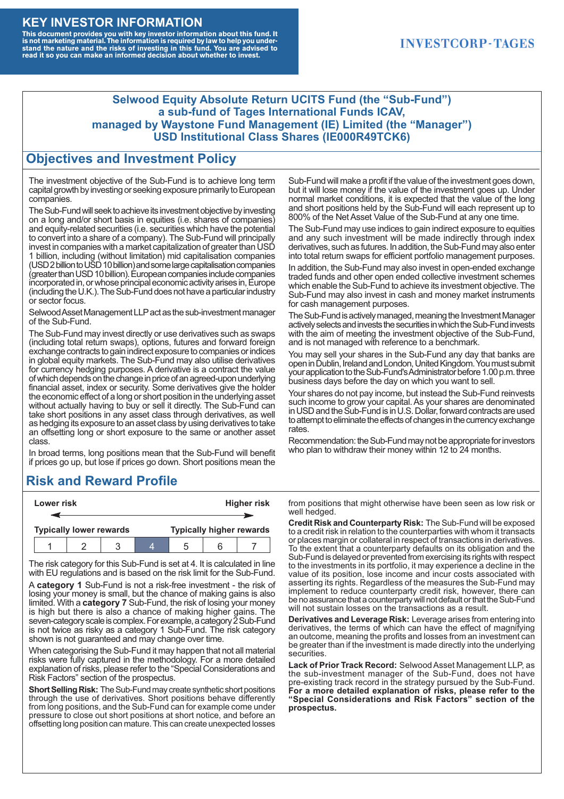#### **KEY INVESTOR INFORMATION**

This document provides you with key investor information about this fund. It<br>is not marketing material. The information is required by law to help you under-<br>stand the nature and the risks of investing in this fund. You ar

#### **INVESTCORP-TAGES**

#### **Selwood Equity Absolute Return UCITS Fund (the "Sub-Fund") a sub-fund of Tages International Funds ICAV, managed by Waystone Fund Management (IE) Limited (the "Manager") USD Institutional Class Shares (IE000R49TCK6)**

#### **Objectives and Investment Policy**

The investment objective of the Sub-Fund is to achieve long term capital growth by investing or seeking exposure primarily to European companies.

The Sub-Fund will seek to achieve its investment objective by investing on a long and/or short basis in equities (i.e. shares of companies) and equity-related securities (i.e. securities which have the potential to convert into a share of a company). The Sub-Fund will principally invest in companies with a market capitalization of greater than USD 1 billion, including (without limitation) mid capitalisation companies (USD 2 billion to USD 10 billion) and some large capitalisation companies (greaterthanUSD10billion).European companiesinclude companies incorporated in, or whose principal economic activity arises in, Europe (including the U.K.). The Sub-Fund does not have a particular industry or sector focus.

Selwood Asset Management LLP act as the sub-investment manager of the Sub-Fund.

The Sub-Fund may invest directly or use derivatives such as swaps (including total return swaps), options, futures and forward foreign exchange contracts to gain indirect exposure to companies or indices in global equity markets. The Sub-Fund may also utilise derivatives for currency hedging purposes. A derivative is a contract the value of which depends on the change in price of an agreed-upon underlying financial asset, index or security. Some derivatives give the holder the economic effect of a long or short position in the underlying asset without actually having to buy or sell it directly. The Sub-Fund can take short positions in any asset class through derivatives, as well as hedging its exposure to an asset class by using derivatives to take an offsetting long or short exposure to the same or another asset class.

In broad terms, long positions mean that the Sub-Fund will benefit if prices go up, but lose if prices go down. Short positions mean the

## **Risk and Reward Profile**

|                                | Lower risk |  |  | <b>Higher risk</b>              |  |  |
|--------------------------------|------------|--|--|---------------------------------|--|--|
|                                |            |  |  |                                 |  |  |
| <b>Typically lower rewards</b> |            |  |  | <b>Typically higher rewards</b> |  |  |
|                                |            |  |  | :5                              |  |  |

The risk category for this Sub-Fund is set at 4. It is calculated in line with EU regulations and is based on the risk limit for the Sub-Fund.

A **category 1** Sub-Fund is not a risk-free investment - the risk of losing your money is small, but the chance of making gains is also limited. With a **category 7** Sub-Fund, the risk of losing your money is high but there is also a chance of making higher gains. The seven-category scale is complex. For example, a category 2 Sub-Fund is not twice as risky as a category 1 Sub-Fund. The risk category shown is not guaranteed and may change over time.

When categorising the Sub-Fund it may happen that not all material risks were fully captured in the methodology. For a more detailed explanation of risks, please refer to the "Special Considerations and Risk Factors" section of the prospectus.

**Short Selling Risk:** The Sub-Fund may create synthetic short positions through the use of derivatives. Short positions behave differently from long positions, and the Sub-Fund can for example come under pressure to close out short positions at short notice, and before an offsetting long position can mature. This can create unexpected losses

Sub-Fund will make a profit if the value of the investment goes down, but it will lose money if the value of the investment goes up. Under normal market conditions, it is expected that the value of the long and short positions held by the Sub-Fund will each represent up to 800% of the Net Asset Value of the Sub-Fund at any one time.

The Sub-Fund may use indices to gain indirect exposure to equities and any such investment will be made indirectly through index derivatives, such as futures. In addition, the Sub-Fund may also enter into total return swaps for efficient portfolio management purposes.

In addition, the Sub-Fund may also invest in open-ended exchange traded funds and other open ended collective investment schemes which enable the Sub-Fund to achieve its investment objective. The Sub-Fund may also invest in cash and money market instruments for cash management purposes.

The Sub-Fund is actively managed, meaning the Investment Manager actively selects and invests the securities in which the Sub-Fund invests with the aim of meeting the investment objective of the Sub-Fund, and is not managed with reference to a benchmark.

You may sell your shares in the Sub-Fund any day that banks are open in Dublin, Ireland and London, United Kingdom. You must submit your application to the Sub-Fund's Administrator before 1.00 p.m. three business days before the day on which you want to sell.

Your shares do not pay income, but instead the Sub-Fund reinvests such income to grow your capital. As your shares are denominated in USD and the Sub-Fund is in U.S. Dollar, forward contracts are used to attempt to eliminate the effects of changes in the currency exchange rates.

Recommendation: the Sub-Fund may not be appropriate for investors who plan to withdraw their money within 12 to 24 months.

from positions that might otherwise have been seen as low risk or well hedged.

**Credit Risk and Counterparty Risk:** The Sub-Fund will be exposed to a credit risk in relation to the counterparties with whom it transacts or places margin or collateral in respect of transactions in derivatives. To the extent that a counterparty defaults on its obligation and the Sub-Fund is delayed or prevented from exercising its rights with respect to the investments in its portfolio, it may experience a decline in the value of its position, lose income and incur costs associated with asserting its rights. Regardless of the measures the Sub-Fund may implement to reduce counterparty credit risk, however, there can be no assurance that a counterparty will not default or that the Sub-Fund will not sustain losses on the transactions as a result.

**Derivatives and Leverage Risk:** Leverage arises from entering into derivatives, the terms of which can have the effect of magnifying an outcome, meaning the profits and losses from an investment can be greater than if the investment is made directly into the underlying **securities**.

**Lack of Prior Track Record:** Selwood Asset Management LLP, as the sub-investment manager of the Sub-Fund, does not have pre-existing track record in the strategy pursued by the Sub-Fund. **For a more detailed explanation of risks, please refer to the "Special Considerations and Risk Factors" section of the prospectus.**